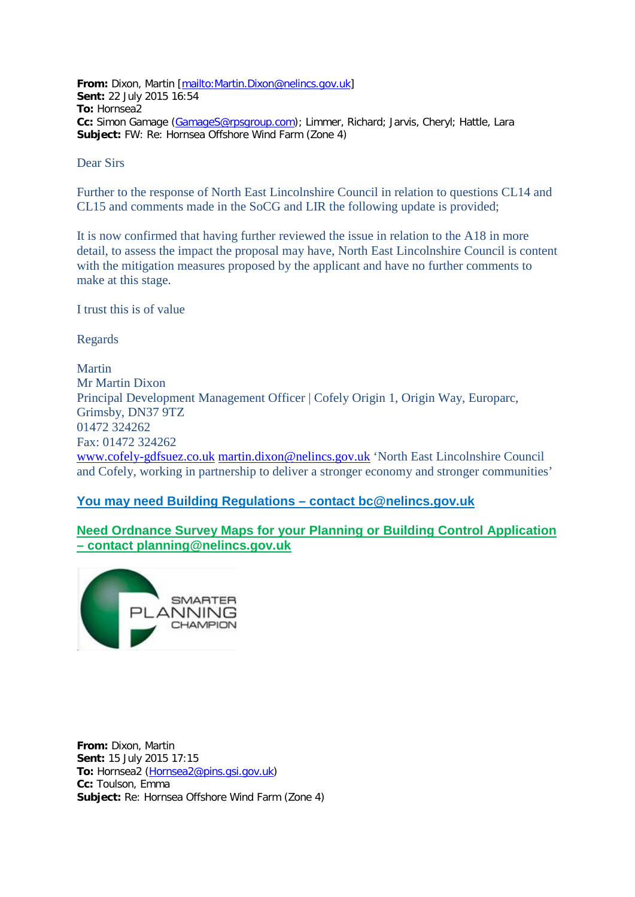**From:** Dixon, Martin [\[mailto:Martin.Dixon@nelincs.gov.uk\]](mailto:Martin.Dixon@nelincs.gov.uk) **Sent:** 22 July 2015 16:54 **To:** Hornsea2 **Cc:** Simon Gamage [\(GamageS@rpsgroup.com\)](mailto:GamageS@rpsgroup.com); Limmer, Richard; Jarvis, Cheryl; Hattle, Lara **Subject:** FW: Re: Hornsea Offshore Wind Farm (Zone 4)

Dear Sirs

Further to the response of North East Lincolnshire Council in relation to questions CL14 and CL15 and comments made in the SoCG and LIR the following update is provided;

It is now confirmed that having further reviewed the issue in relation to the A18 in more detail, to assess the impact the proposal may have, North East Lincolnshire Council is content with the mitigation measures proposed by the applicant and have no further comments to make at this stage.

I trust this is of value

Regards

Martin Mr Martin Dixon Principal Development Management Officer | Cofely Origin 1, Origin Way, Europarc, Grimsby, DN37 9TZ 01472 324262 Fax: 01472 324262 [www.cofely-gdfsuez.co.uk](http://www.cofely-gdfsuez.co.uk/) [martin.dixon@nelincs.gov.uk](mailto:martin.dixon@nelincs.gov.uk) 'North East Lincolnshire Council and Cofely, working in partnership to deliver a stronger economy and stronger communities'

## **[You](blocked::http://www.west-lindsey.gov.uk/residents/planning-and-building/building-control/the-benefits-of-using-local-authority-building-control/) may need Building Regulations – contact [bc@nelincs.gov.uk](mailto:bc@nelincs.gov.uk)**

**Need Ordnance Survey Maps for your Planning or Building Control Application – contact [planning@nelincs.gov.uk](mailto:planning@nelincs.gov.uk)**



**From:** Dixon, Martin **Sent:** 15 July 2015 17:15 **To:** Hornsea2 [\(Hornsea2@pins.gsi.gov.uk\)](mailto:Hornsea2@pins.gsi.gov.uk) **Cc:** Toulson, Emma **Subject:** Re: Hornsea Offshore Wind Farm (Zone 4)